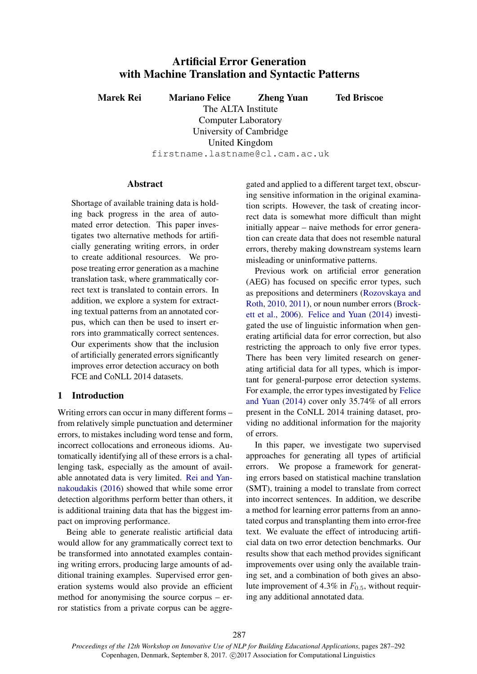# Artificial Error Generation with Machine Translation and Syntactic Patterns

Marek Rei Mariano Felice Zheng Yuan Ted Briscoe

The ALTA Institute Computer Laboratory University of Cambridge United Kingdom firstname.lastname@cl.cam.ac.uk

## Abstract

Shortage of available training data is holding back progress in the area of automated error detection. This paper investigates two alternative methods for artificially generating writing errors, in order to create additional resources. We propose treating error generation as a machine translation task, where grammatically correct text is translated to contain errors. In addition, we explore a system for extracting textual patterns from an annotated corpus, which can then be used to insert errors into grammatically correct sentences. Our experiments show that the inclusion of artificially generated errors significantly improves error detection accuracy on both FCE and CoNLL 2014 datasets.

# 1 Introduction

Writing errors can occur in many different forms – from relatively simple punctuation and determiner errors, to mistakes including word tense and form, incorrect collocations and erroneous idioms. Automatically identifying all of these errors is a challenging task, especially as the amount of available annotated data is very limited. Rei and Yannakoudakis (2016) showed that while some error detection algorithms perform better than others, it is additional training data that has the biggest impact on improving performance.

Being able to generate realistic artificial data would allow for any grammatically correct text to be transformed into annotated examples containing writing errors, producing large amounts of additional training examples. Supervised error generation systems would also provide an efficient method for anonymising the source corpus – error statistics from a private corpus can be aggregated and applied to a different target text, obscuring sensitive information in the original examination scripts. However, the task of creating incorrect data is somewhat more difficult than might initially appear – naive methods for error generation can create data that does not resemble natural errors, thereby making downstream systems learn misleading or uninformative patterns.

Previous work on artificial error generation (AEG) has focused on specific error types, such as prepositions and determiners (Rozovskaya and Roth, 2010, 2011), or noun number errors (Brockett et al., 2006). Felice and Yuan (2014) investigated the use of linguistic information when generating artificial data for error correction, but also restricting the approach to only five error types. There has been very limited research on generating artificial data for all types, which is important for general-purpose error detection systems. For example, the error types investigated by Felice and Yuan (2014) cover only 35.74% of all errors present in the CoNLL 2014 training dataset, providing no additional information for the majority of errors.

In this paper, we investigate two supervised approaches for generating all types of artificial errors. We propose a framework for generating errors based on statistical machine translation (SMT), training a model to translate from correct into incorrect sentences. In addition, we describe a method for learning error patterns from an annotated corpus and transplanting them into error-free text. We evaluate the effect of introducing artificial data on two error detection benchmarks. Our results show that each method provides significant improvements over using only the available training set, and a combination of both gives an absolute improvement of 4.3% in  $F_{0.5}$ , without requiring any additional annotated data.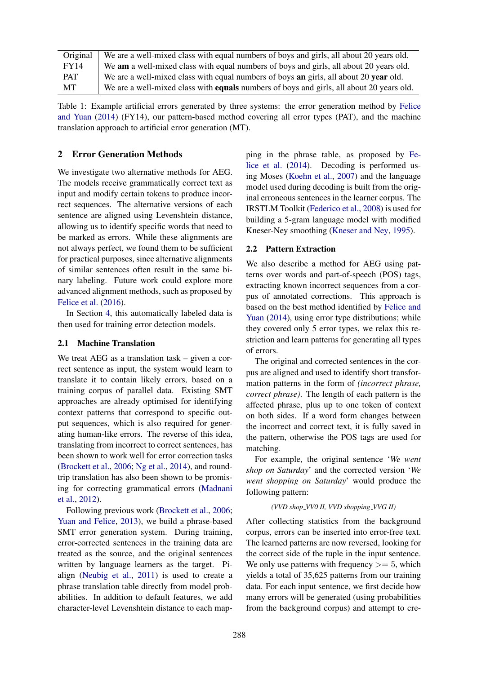| Original   | We are a well-mixed class with equal numbers of boys and girls, all about 20 years old.         |
|------------|-------------------------------------------------------------------------------------------------|
| FY14       | We am a well-mixed class with equal numbers of boys and girls, all about 20 years old.          |
| <b>PAT</b> | We are a well-mixed class with equal numbers of boys <b>an</b> girls, all about 20 year old.    |
| MT         | We are a well-mixed class with <b>equals</b> numbers of boys and girls, all about 20 years old. |

Table 1: Example artificial errors generated by three systems: the error generation method by Felice and Yuan (2014) (FY14), our pattern-based method covering all error types (PAT), and the machine translation approach to artificial error generation (MT).

## 2 Error Generation Methods

We investigate two alternative methods for AEG. The models receive grammatically correct text as input and modify certain tokens to produce incorrect sequences. The alternative versions of each sentence are aligned using Levenshtein distance, allowing us to identify specific words that need to be marked as errors. While these alignments are not always perfect, we found them to be sufficient for practical purposes, since alternative alignments of similar sentences often result in the same binary labeling. Future work could explore more advanced alignment methods, such as proposed by Felice et al. (2016).

In Section 4, this automatically labeled data is then used for training error detection models.

#### 2.1 Machine Translation

We treat AEG as a translation task – given a correct sentence as input, the system would learn to translate it to contain likely errors, based on a training corpus of parallel data. Existing SMT approaches are already optimised for identifying context patterns that correspond to specific output sequences, which is also required for generating human-like errors. The reverse of this idea, translating from incorrect to correct sentences, has been shown to work well for error correction tasks (Brockett et al., 2006; Ng et al., 2014), and roundtrip translation has also been shown to be promising for correcting grammatical errors (Madnani et al., 2012).

Following previous work (Brockett et al., 2006; Yuan and Felice, 2013), we build a phrase-based SMT error generation system. During training, error-corrected sentences in the training data are treated as the source, and the original sentences written by language learners as the target. Pialign (Neubig et al., 2011) is used to create a phrase translation table directly from model probabilities. In addition to default features, we add character-level Levenshtein distance to each map-

ping in the phrase table, as proposed by Felice et al. (2014). Decoding is performed using Moses (Koehn et al., 2007) and the language model used during decoding is built from the original erroneous sentences in the learner corpus. The IRSTLM Toolkit (Federico et al., 2008) is used for building a 5-gram language model with modified Kneser-Ney smoothing (Kneser and Ney, 1995).

#### 2.2 Pattern Extraction

We also describe a method for AEG using patterns over words and part-of-speech (POS) tags, extracting known incorrect sequences from a corpus of annotated corrections. This approach is based on the best method identified by Felice and Yuan (2014), using error type distributions; while they covered only 5 error types, we relax this restriction and learn patterns for generating all types of errors.

The original and corrected sentences in the corpus are aligned and used to identify short transformation patterns in the form of *(incorrect phrase, correct phrase)*. The length of each pattern is the affected phrase, plus up to one token of context on both sides. If a word form changes between the incorrect and correct text, it is fully saved in the pattern, otherwise the POS tags are used for matching.

For example, the original sentence '*We went shop on Saturday*' and the corrected version '*We went shopping on Saturday*' would produce the following pattern:

#### *(VVD shop VV0 II, VVD shopping VVG II)*

After collecting statistics from the background corpus, errors can be inserted into error-free text. The learned patterns are now reversed, looking for the correct side of the tuple in the input sentence. We only use patterns with frequency  $>= 5$ , which yields a total of 35,625 patterns from our training data. For each input sentence, we first decide how many errors will be generated (using probabilities from the background corpus) and attempt to cre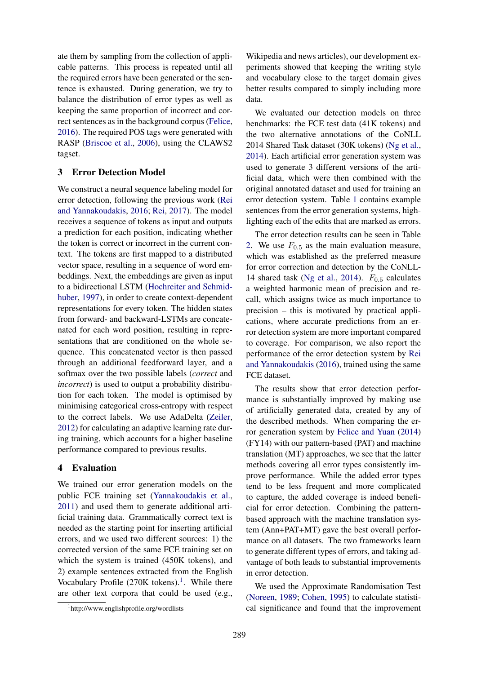ate them by sampling from the collection of applicable patterns. This process is repeated until all the required errors have been generated or the sentence is exhausted. During generation, we try to balance the distribution of error types as well as keeping the same proportion of incorrect and correct sentences as in the background corpus (Felice, 2016). The required POS tags were generated with RASP (Briscoe et al., 2006), using the CLAWS2 tagset.

# 3 Error Detection Model

We construct a neural sequence labeling model for error detection, following the previous work (Rei and Yannakoudakis, 2016; Rei, 2017). The model receives a sequence of tokens as input and outputs a prediction for each position, indicating whether the token is correct or incorrect in the current context. The tokens are first mapped to a distributed vector space, resulting in a sequence of word embeddings. Next, the embeddings are given as input to a bidirectional LSTM (Hochreiter and Schmidhuber, 1997), in order to create context-dependent representations for every token. The hidden states from forward- and backward-LSTMs are concatenated for each word position, resulting in representations that are conditioned on the whole sequence. This concatenated vector is then passed through an additional feedforward layer, and a softmax over the two possible labels (*correct* and *incorrect*) is used to output a probability distribution for each token. The model is optimised by minimising categorical cross-entropy with respect to the correct labels. We use AdaDelta (Zeiler, 2012) for calculating an adaptive learning rate during training, which accounts for a higher baseline performance compared to previous results.

# 4 Evaluation

We trained our error generation models on the public FCE training set (Yannakoudakis et al., 2011) and used them to generate additional artificial training data. Grammatically correct text is needed as the starting point for inserting artificial errors, and we used two different sources: 1) the corrected version of the same FCE training set on which the system is trained (450K tokens), and 2) example sentences extracted from the English Vocabulary Profile  $(270K$  tokens).<sup>1</sup>. While there are other text corpora that could be used (e.g.,

Wikipedia and news articles), our development experiments showed that keeping the writing style and vocabulary close to the target domain gives better results compared to simply including more data.

We evaluated our detection models on three benchmarks: the FCE test data (41K tokens) and the two alternative annotations of the CoNLL 2014 Shared Task dataset (30K tokens) (Ng et al., 2014). Each artificial error generation system was used to generate 3 different versions of the artificial data, which were then combined with the original annotated dataset and used for training an error detection system. Table 1 contains example sentences from the error generation systems, highlighting each of the edits that are marked as errors.

The error detection results can be seen in Table 2. We use  $F_{0.5}$  as the main evaluation measure, which was established as the preferred measure for error correction and detection by the CoNLL-14 shared task (Ng et al., 2014).  $F_{0.5}$  calculates a weighted harmonic mean of precision and recall, which assigns twice as much importance to precision – this is motivated by practical applications, where accurate predictions from an error detection system are more important compared to coverage. For comparison, we also report the performance of the error detection system by Rei and Yannakoudakis (2016), trained using the same FCE dataset.

The results show that error detection performance is substantially improved by making use of artificially generated data, created by any of the described methods. When comparing the error generation system by Felice and Yuan (2014) (FY14) with our pattern-based (PAT) and machine translation (MT) approaches, we see that the latter methods covering all error types consistently improve performance. While the added error types tend to be less frequent and more complicated to capture, the added coverage is indeed beneficial for error detection. Combining the patternbased approach with the machine translation system (Ann+PAT+MT) gave the best overall performance on all datasets. The two frameworks learn to generate different types of errors, and taking advantage of both leads to substantial improvements in error detection.

We used the Approximate Randomisation Test (Noreen, 1989; Cohen, 1995) to calculate statistical significance and found that the improvement

<sup>1</sup> http://www.englishprofile.org/wordlists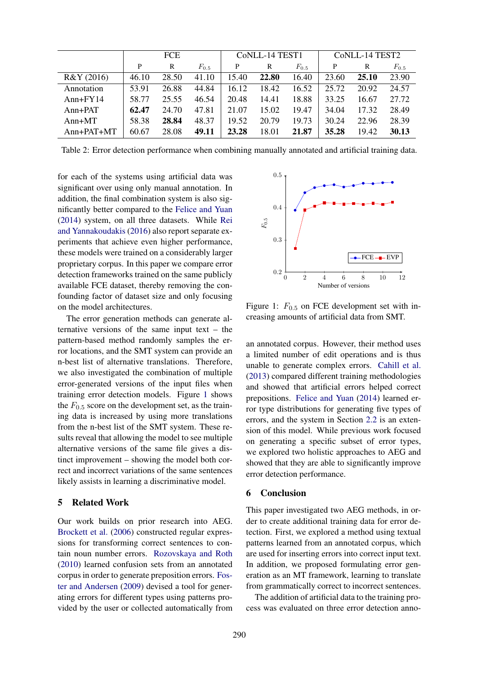|            | <b>FCE</b> |       |           | CoNLL-14 TEST1 |       |           | CoNLL-14 TEST2 |       |           |
|------------|------------|-------|-----------|----------------|-------|-----------|----------------|-------|-----------|
|            | P          | R     | $F_{0.5}$ | P              | R     | $F_{0.5}$ | P              | R     | $F_{0.5}$ |
| R&Y (2016) | 46.10      | 28.50 | 41.10     | 15.40          | 22.80 | 16.40     | 23.60          | 25.10 | 23.90     |
| Annotation | 53.91      | 26.88 | 44.84     | 16.12          | 18.42 | 16.52     | 25.72          | 20.92 | 24.57     |
| $Ann+FY14$ | 58.77      | 25.55 | 46.54     | 20.48          | 14.41 | 18.88     | 33.25          | 16.67 | 27.72     |
| $Ann+PAT$  | 62.47      | 24.70 | 47.81     | 21.07          | 15.02 | 19.47     | 34.04          | 17.32 | 28.49     |
| $Ann+MT$   | 58.38      | 28.84 | 48.37     | 19.52          | 20.79 | 19.73     | 30.24          | 22.96 | 28.39     |
| Ann+PAT+MT | 60.67      | 28.08 | 49.11     | 23.28          | 18.01 | 21.87     | 35.28          | 19.42 | 30.13     |

Table 2: Error detection performance when combining manually annotated and artificial training data.

for each of the systems using artificial data was significant over using only manual annotation. In addition, the final combination system is also significantly better compared to the Felice and Yuan (2014) system, on all three datasets. While Rei and Yannakoudakis (2016) also report separate experiments that achieve even higher performance, these models were trained on a considerably larger proprietary corpus. In this paper we compare error detection frameworks trained on the same publicly available FCE dataset, thereby removing the confounding factor of dataset size and only focusing on the model architectures.

The error generation methods can generate alternative versions of the same input text – the pattern-based method randomly samples the error locations, and the SMT system can provide an n-best list of alternative translations. Therefore, we also investigated the combination of multiple error-generated versions of the input files when training error detection models. Figure 1 shows the  $F_{0.5}$  score on the development set, as the training data is increased by using more translations from the n-best list of the SMT system. These results reveal that allowing the model to see multiple alternative versions of the same file gives a distinct improvement – showing the model both correct and incorrect variations of the same sentences likely assists in learning a discriminative model.

#### 5 Related Work

Our work builds on prior research into AEG. Brockett et al. (2006) constructed regular expressions for transforming correct sentences to contain noun number errors. Rozovskaya and Roth (2010) learned confusion sets from an annotated corpus in order to generate preposition errors. Foster and Andersen (2009) devised a tool for generating errors for different types using patterns provided by the user or collected automatically from



Figure 1:  $F_{0.5}$  on FCE development set with increasing amounts of artificial data from SMT.

an annotated corpus. However, their method uses a limited number of edit operations and is thus unable to generate complex errors. Cahill et al. (2013) compared different training methodologies and showed that artificial errors helped correct prepositions. Felice and Yuan (2014) learned error type distributions for generating five types of errors, and the system in Section 2.2 is an extension of this model. While previous work focused on generating a specific subset of error types, we explored two holistic approaches to AEG and showed that they are able to significantly improve error detection performance.

#### 6 Conclusion

This paper investigated two AEG methods, in order to create additional training data for error detection. First, we explored a method using textual patterns learned from an annotated corpus, which are used for inserting errors into correct input text. In addition, we proposed formulating error generation as an MT framework, learning to translate from grammatically correct to incorrect sentences.

The addition of artificial data to the training process was evaluated on three error detection anno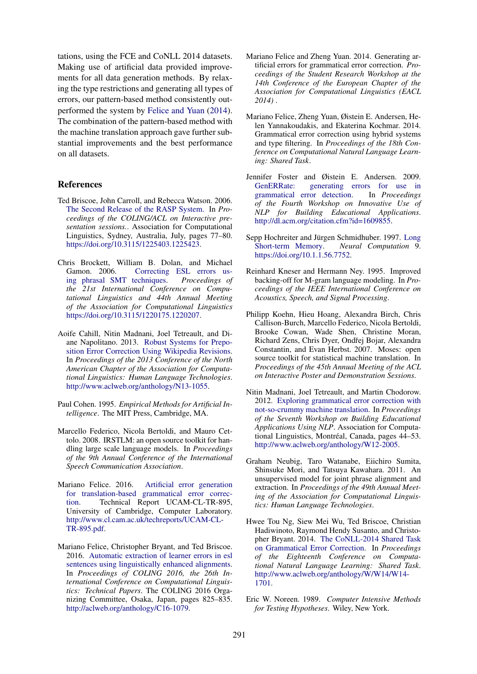tations, using the FCE and CoNLL 2014 datasets. Making use of artificial data provided improvements for all data generation methods. By relaxing the type restrictions and generating all types of errors, our pattern-based method consistently outperformed the system by Felice and Yuan (2014). The combination of the pattern-based method with the machine translation approach gave further substantial improvements and the best performance on all datasets.

#### References

- Ted Briscoe, John Carroll, and Rebecca Watson. 2006. The Second Release of the RASP System. In *Proceedings of the COLING/ACL on Interactive presentation sessions.*. Association for Computational Linguistics, Sydney, Australia, July, pages 77–80. https://doi.org/10.3115/1225403.1225423.
- Chris Brockett, William B. Dolan, and Michael Gamon. 2006. Correcting ESL errors using phrasal SMT techniques. *Proceedings of the 21st International Conference on Computational Linguistics and 44th Annual Meeting of the Association for Computational Linguistics* https://doi.org/10.3115/1220175.1220207.
- Aoife Cahill, Nitin Madnani, Joel Tetreault, and Diane Napolitano. 2013. Robust Systems for Preposition Error Correction Using Wikipedia Revisions. In *Proceedings of the 2013 Conference of the North American Chapter of the Association for Computational Linguistics: Human Language Technologies*. http://www.aclweb.org/anthology/N13-1055.
- Paul Cohen. 1995. *Empirical Methods for Artificial Intelligence*. The MIT Press, Cambridge, MA.
- Marcello Federico, Nicola Bertoldi, and Mauro Cettolo. 2008. IRSTLM: an open source toolkit for handling large scale language models. In *Proceedings of the 9th Annual Conference of the International Speech Communication Association*.
- Mariano Felice. 2016. Artificial error generation for translation-based grammatical error correction. Technical Report UCAM-CL-TR-895, University of Cambridge, Computer Laboratory. http://www.cl.cam.ac.uk/techreports/UCAM-CL-TR-895.pdf.
- Mariano Felice, Christopher Bryant, and Ted Briscoe. 2016. Automatic extraction of learner errors in esl sentences using linguistically enhanced alignments. In *Proceedings of COLING 2016, the 26th International Conference on Computational Linguistics: Technical Papers*. The COLING 2016 Organizing Committee, Osaka, Japan, pages 825–835. http://aclweb.org/anthology/C16-1079.
- Mariano Felice and Zheng Yuan. 2014. Generating artificial errors for grammatical error correction. *Proceedings of the Student Research Workshop at the 14th Conference of the European Chapter of the Association for Computational Linguistics (EACL 2014)* .
- Mariano Felice, Zheng Yuan, Øistein E. Andersen, Helen Yannakoudakis, and Ekaterina Kochmar. 2014. Grammatical error correction using hybrid systems and type filtering. In *Proceedings of the 18th Conference on Computational Natural Language Learning: Shared Task*.
- Jennifer Foster and Øistein E. Andersen. 2009. GenERRate: generating errors for use in grammatical error detection. In *Proceedings of the Fourth Workshop on Innovative Use of NLP for Building Educational Applications*. http://dl.acm.org/citation.cfm?id=1609855.
- Sepp Hochreiter and Jürgen Schmidhuber. 1997. Long Short-term Memory. *Neural Computation* 9. https://doi.org/10.1.1.56.7752.
- Reinhard Kneser and Hermann Ney. 1995. Improved backing-off for M-gram language modeling. In *Proceedings of the IEEE International Conference on Acoustics, Speech, and Signal Processing*.
- Philipp Koehn, Hieu Hoang, Alexandra Birch, Chris Callison-Burch, Marcello Federico, Nicola Bertoldi, Brooke Cowan, Wade Shen, Christine Moran, Richard Zens, Chris Dyer, Ondřej Bojar, Alexandra Constantin, and Evan Herbst. 2007. Moses: open source toolkit for statistical machine translation. In *Proceedings of the 45th Annual Meeting of the ACL on Interactive Poster and Demonstration Sessions*.
- Nitin Madnani, Joel Tetreault, and Martin Chodorow. 2012. Exploring grammatical error correction with not-so-crummy machine translation. In *Proceedings of the Seventh Workshop on Building Educational Applications Using NLP*. Association for Computational Linguistics, Montréal, Canada, pages 44–53. http://www.aclweb.org/anthology/W12-2005.
- Graham Neubig, Taro Watanabe, Eiichiro Sumita, Shinsuke Mori, and Tatsuya Kawahara. 2011. An unsupervised model for joint phrase alignment and extraction. In *Proceedings of the 49th Annual Meeting of the Association for Computational Linguistics: Human Language Technologies*.
- Hwee Tou Ng, Siew Mei Wu, Ted Briscoe, Christian Hadiwinoto, Raymond Hendy Susanto, and Christopher Bryant. 2014. The CoNLL-2014 Shared Task on Grammatical Error Correction. In *Proceedings of the Eighteenth Conference on Computational Natural Language Learning: Shared Task*. http://www.aclweb.org/anthology/W/W14/W14- 1701.
- Eric W. Noreen. 1989. *Computer Intensive Methods for Testing Hypotheses*. Wiley, New York.